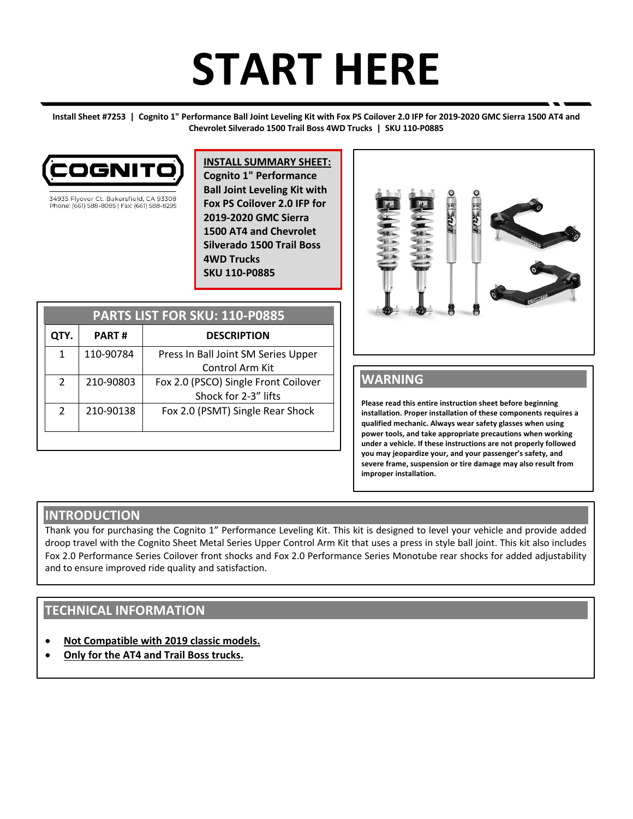# **START HERE**

**Install Sheet #7253 | Cognito 1" Performance Ball Joint Leveling Kit with Fox PS Coilover 2.0 IFP for 2019-2020 GMC Sierra 1500 AT4 and Chevrolet Silverado 1500 Trail Boss 4WD Trucks | SKU 110-P0885**



34935 Flyover Ct. Bakersfield, CA 93308 Phone: (661) 588-8085 | Fax: (661) 588-8295 **INSTALL SUMMARY SHEET: Cognito 1" Performance Ball Joint Leveling Kit with Fox PS Coilover 2.0 IFP for 2019-2020 GMC Sierra 1500 AT4 and Chevrolet Silverado 1500 Trail Boss 4WD Trucks SKU 110-P0885**

| PARTS LIST FOR SKU: 110-P0885 |              |                                                              |
|-------------------------------|--------------|--------------------------------------------------------------|
| QTY.                          | <b>PART#</b> | <b>DESCRIPTION</b>                                           |
| 1                             | 110-90784    | Press In Ball Joint SM Series Upper<br>Control Arm Kit       |
| $\mathcal{L}$                 | 210-90803    | Fox 2.0 (PSCO) Single Front Coilover<br>Shock for 2-3" lifts |
| $\mathcal{L}$                 | 210-90138    | Fox 2.0 (PSMT) Single Rear Shock                             |
|                               |              |                                                              |



# **WARNING**

**Please read this entire instruction sheet before beginning installation. Proper installation of these components requires a qualified mechanic. Always wear safety glasses when using power tools, and take appropriate precautions when working under a vehicle. If these instructions are not properly followed you may jeopardize your, and your passenger's safety, and severe frame, suspension or tire damage may also result from improper installation.**

## **INTRODUCTION**

Thank you for purchasing the Cognito 1" Performance Leveling Kit. This kit is designed to level your vehicle and provide added droop travel with the Cognito Sheet Metal Series Upper Control Arm Kit that uses a press in style ball joint. This kit also includes Fox 2.0 Performance Series Coilover front shocks and Fox 2.0 Performance Series Monotube rear shocks for added adjustability and to ensure improved ride quality and satisfaction.

# **TECHNICAL INFORMATION**

- **Not Compatible with 2019 classic models.**
- **Only for the AT4 and Trail Boss trucks.**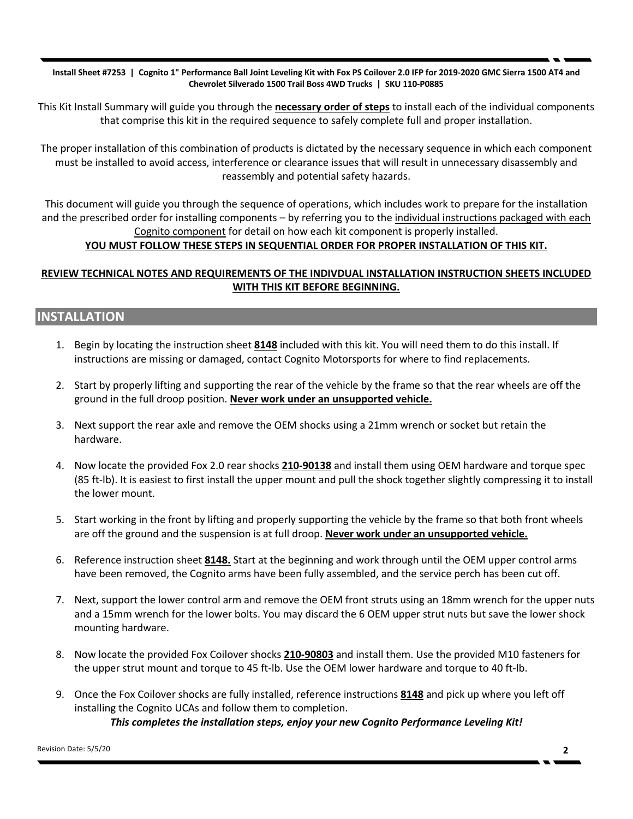**Install Sheet #7253 | Cognito 1" Performance Ball Joint Leveling Kit with Fox PS Coilover 2.0 IFP for 2019-2020 GMC Sierra 1500 AT4 and Chevrolet Silverado 1500 Trail Boss 4WD Trucks | SKU 110-P0885**

This Kit Install Summary will guide you through the **necessary order of steps** to install each of the individual components that comprise this kit in the required sequence to safely complete full and proper installation.

The proper installation of this combination of products is dictated by the necessary sequence in which each component must be installed to avoid access, interference or clearance issues that will result in unnecessary disassembly and reassembly and potential safety hazards.

This document will guide you through the sequence of operations, which includes work to prepare for the installation and the prescribed order for installing components – by referring you to the individual instructions packaged with each Cognito component for detail on how each kit component is properly installed.

### **YOU MUST FOLLOW THESE STEPS IN SEQUENTIAL ORDER FOR PROPER INSTALLATION OF THIS KIT.**

### **REVIEW TECHNICAL NOTES AND REQUIREMENTS OF THE INDIVDUAL INSTALLATION INSTRUCTION SHEETS INCLUDED WITH THIS KIT BEFORE BEGINNING.**

## **INSTALLATION**

- 1. Begin by locating the instruction sheet **8148** included with this kit. You will need them to do this install. If instructions are missing or damaged, contact Cognito Motorsports for where to find replacements.
- 2. Start by properly lifting and supporting the rear of the vehicle by the frame so that the rear wheels are off the ground in the full droop position. **Never work under an unsupported vehicle.**
- 3. Next support the rear axle and remove the OEM shocks using a 21mm wrench or socket but retain the hardware.
- 4. Now locate the provided Fox 2.0 rear shocks **210-90138** and install them using OEM hardware and torque spec (85 ft-lb). It is easiest to first install the upper mount and pull the shock together slightly compressing it to install the lower mount.
- 5. Start working in the front by lifting and properly supporting the vehicle by the frame so that both front wheels are off the ground and the suspension is at full droop. **Never work under an unsupported vehicle.**
- 6. Reference instruction sheet **8148.** Start at the beginning and work through until the OEM upper control arms have been removed, the Cognito arms have been fully assembled, and the service perch has been cut off.
- 7. Next, support the lower control arm and remove the OEM front struts using an 18mm wrench for the upper nuts and a 15mm wrench for the lower bolts. You may discard the 6 OEM upper strut nuts but save the lower shock mounting hardware.
- 8. Now locate the provided Fox Coilover shocks **210-90803** and install them. Use the provided M10 fasteners for the upper strut mount and torque to 45 ft-lb. Use the OEM lower hardware and torque to 40 ft-lb.
- 9. Once the Fox Coilover shocks are fully installed, reference instructions **8148** and pick up where you left off installing the Cognito UCAs and follow them to completion. *This completes the installation steps, enjoy your new Cognito Performance Leveling Kit!*

Revision Date: 5/5/20 **2**